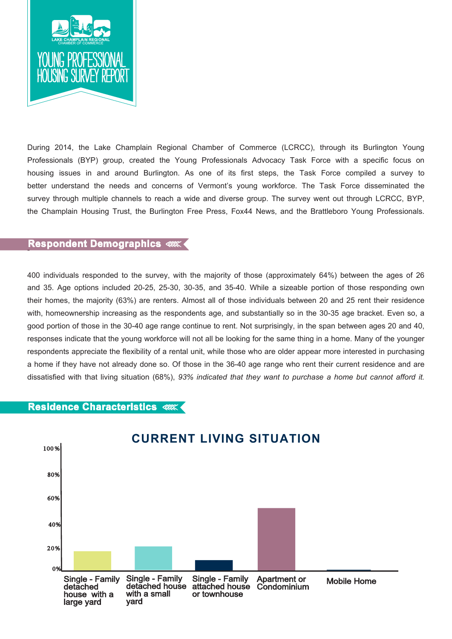

During 2014, the Lake Champlain Regional Chamber of Commerce (LCRCC), through its Burlington Young Professionals (BYP) group, created the Young Professionals Advocacy Task Force with a specific focus on housing issues in and around Burlington. As one of its first steps, the Task Force compiled a survey to better understand the needs and concerns of Vermont's young workforce. The Task Force disseminated the survey through multiple channels to reach a wide and diverse group. The survey went out through LCRCC, BYP, the Champlain Housing Trust, the Burlington Free Press, Fox44 News, and the Brattleboro Young Professionals.

# - **Respondent Demographics**

400 individuals responded to the survey, with the majority of those (approximately 64%) between the ages of 26 and 35. Age options included 20-25, 25-30, 30-35, and 35-40. While a sizeable portion of those responding own their homes, the majority (63%) are renters. Almost all of those individuals between 20 and 25 rent their residence with, homeownership increasing as the respondents age, and substantially so in the 30-35 age bracket. Even so, a good portion of those in the 30-40 age range continue to rent. Not surprisingly, in the span between ages 20 and 40, responses indicate that the young workforce will not all be looking for the same thing in a home. Many of the younger respondents appreciate the flexibility of a rental unit, while those who are older appear more interested in purchasing a home if they have not already done so. Of those in the 36-40 age range who rent their current residence and are dissatisfied with that living situation (68%), *93% indicated that they want to purchase a home but cannot afford it.* 

### **Residence Characteristics**

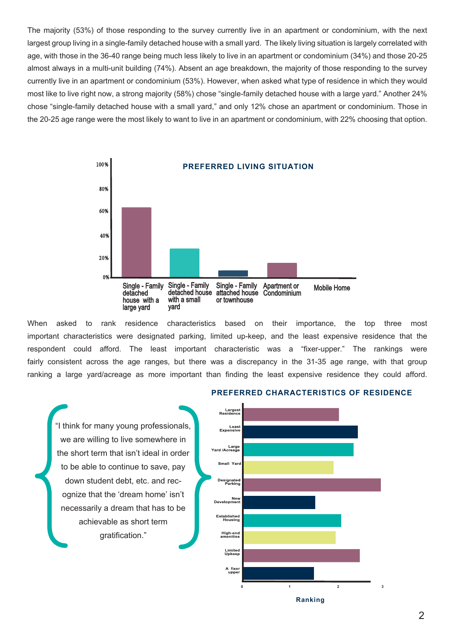The majority (53%) of those responding to the survey currently live in an apartment or condominium, with the next largest group living in a single-family detached house with a small yard. The likely living situation is largely correlated with age, with those in the 36-40 range being much less likely to live in an apartment or condominium (34%) and those 20-25 almost always in a multi-unit building (74%). Absent an age breakdown, the majority of those responding to the survey currently live in an apartment or condominium (53%). However, when asked what type of residence in which they would most like to live right now, a strong majority (58%) chose "single-family detached house with a large yard." Another 24% chose "single-family detached house with a small yard," and only 12% chose an apartment or condominium. Those in the 20-25 age range were the most likely to want to live in an apartment or condominium, with 22% choosing that option.



When asked to rank residence characteristics based on their importance, the top three most important characteristics were designated parking, limited up-keep, and the least expensive residence that the respondent could afford. The least important characteristic was a "fixer-upper." The rankings were fairly consistent across the age ranges, but there was a discrepancy in the 31-35 age range, with that group ranking a large yard/acreage as more important than finding the least expensive residence they could afford.

Larges<br>Residence "I think for many young professionals, Leas<br>Expensive we are willing to live somewhere in Large<br>Yard /Acreage the short term that isn't ideal in order Small Vard to be able to continue to save, pay Designated<br>Parking down student debt, etc. and recognize that the 'dream home' isn't New<br>Development necessarily a dream that has to be Established<br>Housing achievable as short term High-end<br>amenities gratification." Limited<br>Upkeep A fixer<br>upper

# **PREFERRED CHARACTERISTICS OF RESIDENCE**

**Ranking**

0 1 2 3

2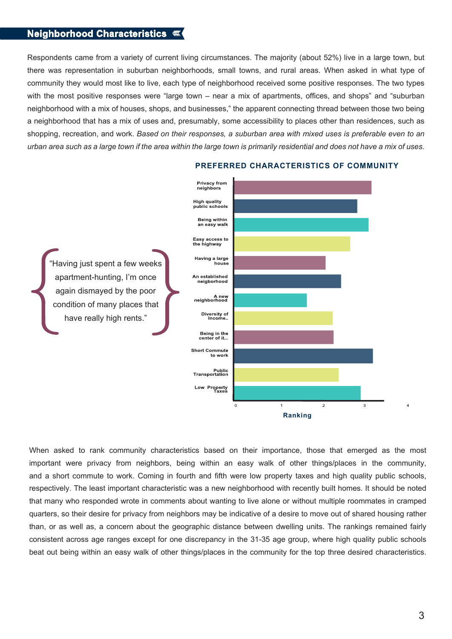## **Neighborhood Characteristics**

Respondents came from a variety of current living circumstances. The majority (about 52%) live in a large town, but there was representation in suburban neighborhoods, small towns, and rural areas. When asked in what type of community they would most like to live, each type of neighborhood received some positive responses. The two types with the most positive responses were "large town – near a mix of apartments, offices, and shops" and "suburban neighborhood with a mix of houses, shops, and businesses," the apparent connecting thread between those two being a neighborhood that has a mix of uses and, presumably, some accessibility to places other than residences, such as shopping, recreation, and work. *Based on their responses, a suburban area with mixed uses is preferable even to an urban area such as a large town if the area within the large town is primarily residential and does not have a mix of uses.* 



#### **PREFERRED CHARACTERISTICS OF COMMUNITY**

When asked to rank community characteristics based on their importance, those that emerged as the most important were privacy from neighbors, being within an easy walk of other things/places in the community, and a short commute to work. Coming in fourth and fifth were low property taxes and high quality public schools, respectively. The least important characteristic was a new neighborhood with recently built homes. It should be noted that many who responded wrote in comments about wanting to live alone or without multiple roommates in cramped quarters, so their desire for privacy from neighbors may be indicative of a desire to move out of shared housing rather than, or as well as, a concern about the geographic distance between dwelling units. The rankings remained fairly consistent across age ranges except for one discrepancy in the 31-35 age group, where high quality public schools beat out being within an easy walk of other things/places in the community for the top three desired characteristics.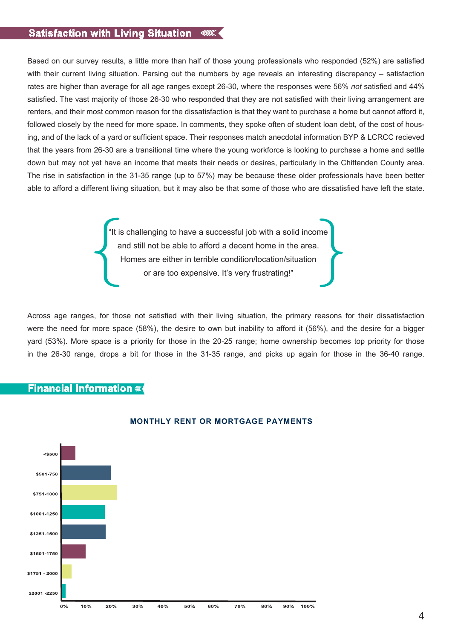# **Satisfaction with Living Situation**

Based on our survey results, a little more than half of those young professionals who responded (52%) are satisfied with their current living situation. Parsing out the numbers by age reveals an interesting discrepancy – satisfaction rates are higher than average for all age ranges except 26-30, where the responses were 56% *not* satisfied and 44% satisfied. The vast majority of those 26-30 who responded that they are not satisfied with their living arrangement are renters, and their most common reason for the dissatisfaction is that they want to purchase a home but cannot afford it, followed closely by the need for more space. In comments, they spoke often of student loan debt, of the cost of housing, and of the lack of a yard or sufficient space. Their responses match anecdotal information BYP & LCRCC recieved that the years from 26-30 are a transitional time where the young workforce is looking to purchase a home and settle down but may not yet have an income that meets their needs or desires, particularly in the Chittenden County area. The rise in satisfaction in the 31-35 range (up to 57%) may be because these older professionals have been better able to afford a different living situation, but it may also be that some of those who are dissatisfied have left the state.

> "It is challenging to have a successful job with a solid income and still not be able to afford a decent home in the area. Homes are either in terrible condition/location/situation or are too expensive. It's very frustrating!"

Across age ranges, for those not satisfied with their living situation, the primary reasons for their dissatisfaction were the need for more space (58%), the desire to own but inability to afford it (56%), and the desire for a bigger yard (53%). More space is a priority for those in the 20-25 range; home ownership becomes top priority for those in the 26-30 range, drops a bit for those in the 31-35 range, and picks up again for those in the 36-40 range.

## **Financial Information**



### **MONTHLY RENT OR MORTGAGE PAYMENTS**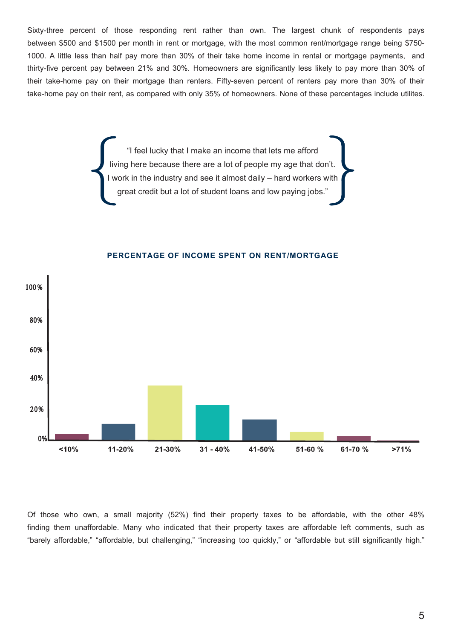Sixty-three percent of those responding rent rather than own. The largest chunk of respondents pays between \$500 and \$1500 per month in rent or mortgage, with the most common rent/mortgage range being \$750- 1000. A little less than half pay more than 30% of their take home income in rental or mortgage payments, and thirty-five percent pay between 21% and 30%. Homeowners are significantly less likely to pay more than 30% of their take-home pay on their mortgage than renters. Fifty-seven percent of renters pay more than 30% of their take-home pay on their rent, as compared with only 35% of homeowners. None of these percentages include utilites.

> "I feel lucky that I make an income that lets me afford living here because there are a lot of people my age that don't. I work in the industry and see it almost daily – hard workers with great credit but a lot of student loans and low paying jobs.'



#### **PERCENTAGE OF INCOME SPENT ON RENT/MORTGAGE**

Of those who own, a small majority (52%) find their property taxes to be affordable, with the other 48% finding them unaffordable. Many who indicated that their property taxes are affordable left comments, such as "barely affordable," "affordable, but challenging," "increasing too quickly," or "affordable but still significantly high."